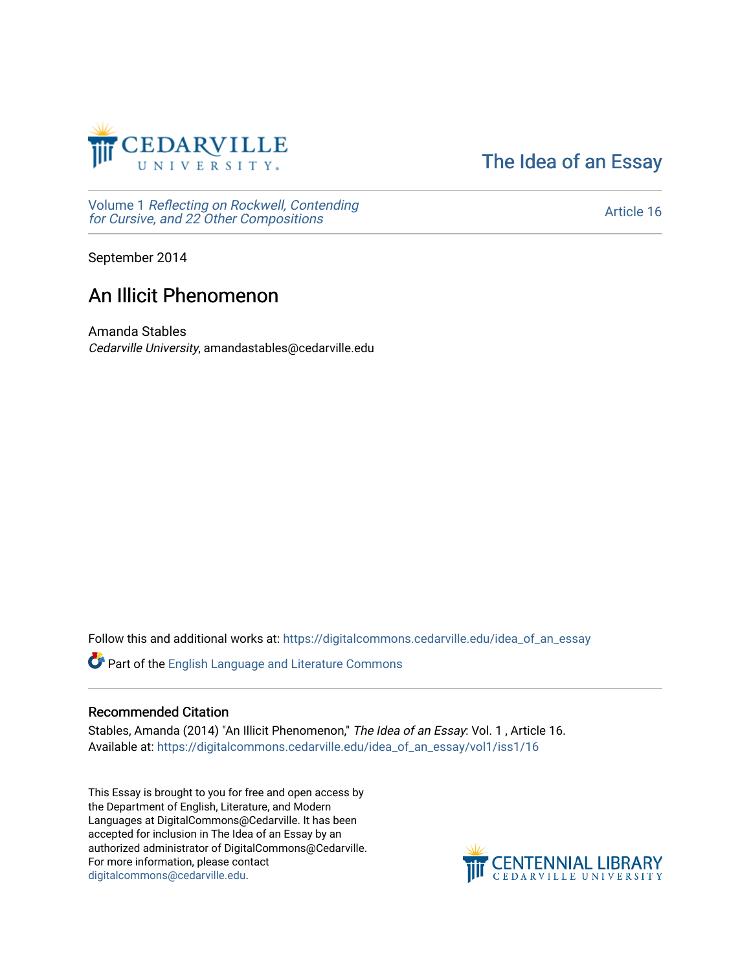

[The Idea of an Essay](https://digitalcommons.cedarville.edu/idea_of_an_essay) 

Volume 1 [Reflecting on Rockwell, Contending](https://digitalcommons.cedarville.edu/idea_of_an_essay/vol1) [for Cursive, and 22 Other Compositions](https://digitalcommons.cedarville.edu/idea_of_an_essay/vol1)

[Article 16](https://digitalcommons.cedarville.edu/idea_of_an_essay/vol1/iss1/16) 

September 2014

# An Illicit Phenomenon

Amanda Stables Cedarville University, amandastables@cedarville.edu

Follow this and additional works at: [https://digitalcommons.cedarville.edu/idea\\_of\\_an\\_essay](https://digitalcommons.cedarville.edu/idea_of_an_essay?utm_source=digitalcommons.cedarville.edu%2Fidea_of_an_essay%2Fvol1%2Fiss1%2F16&utm_medium=PDF&utm_campaign=PDFCoverPages) 

Part of the [English Language and Literature Commons](http://network.bepress.com/hgg/discipline/455?utm_source=digitalcommons.cedarville.edu%2Fidea_of_an_essay%2Fvol1%2Fiss1%2F16&utm_medium=PDF&utm_campaign=PDFCoverPages)

## Recommended Citation

Stables, Amanda (2014) "An Illicit Phenomenon," The Idea of an Essay: Vol. 1 , Article 16. Available at: [https://digitalcommons.cedarville.edu/idea\\_of\\_an\\_essay/vol1/iss1/16](https://digitalcommons.cedarville.edu/idea_of_an_essay/vol1/iss1/16?utm_source=digitalcommons.cedarville.edu%2Fidea_of_an_essay%2Fvol1%2Fiss1%2F16&utm_medium=PDF&utm_campaign=PDFCoverPages) 

This Essay is brought to you for free and open access by the Department of English, Literature, and Modern Languages at DigitalCommons@Cedarville. It has been accepted for inclusion in The Idea of an Essay by an authorized administrator of DigitalCommons@Cedarville. For more information, please contact [digitalcommons@cedarville.edu](mailto:digitalcommons@cedarville.edu).

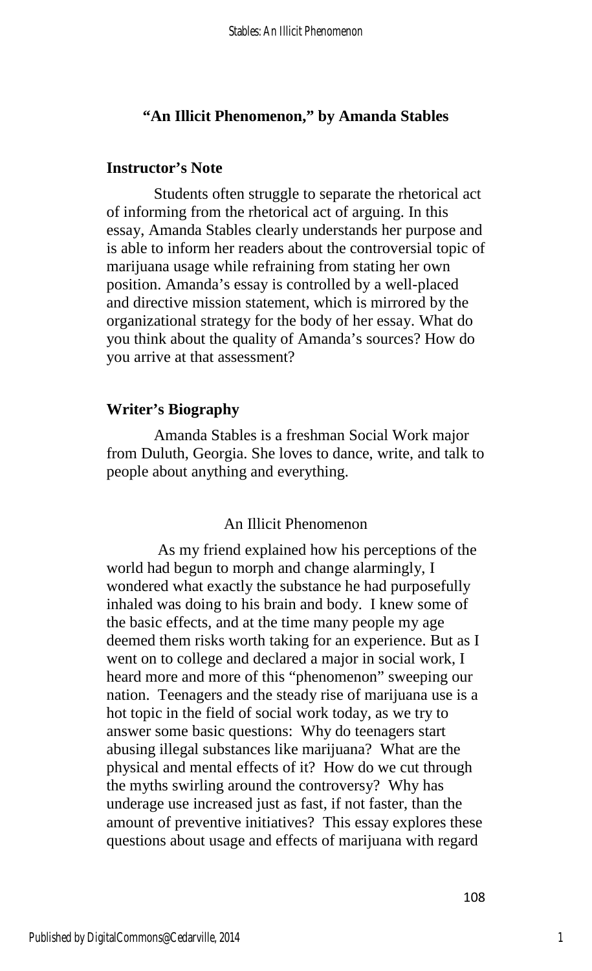## **"An Illicit Phenomenon," by Amanda Stables**

#### **Instructor's Note**

Students often struggle to separate the rhetorical act of informing from the rhetorical act of arguing. In this essay, Amanda Stables clearly understands her purpose and is able to inform her readers about the controversial topic of marijuana usage while refraining from stating her own position. Amanda's essay is controlled by a well-placed and directive mission statement, which is mirrored by the organizational strategy for the body of her essay. What do you think about the quality of Amanda's sources? How do you arrive at that assessment?

#### **Writer's Biography**

Amanda Stables is a freshman Social Work major from Duluth, Georgia. She loves to dance, write, and talk to people about anything and everything.

## An Illicit Phenomenon

 As my friend explained how his perceptions of the world had begun to morph and change alarmingly, I wondered what exactly the substance he had purposefully inhaled was doing to his brain and body. I knew some of the basic effects, and at the time many people my age deemed them risks worth taking for an experience. But as I went on to college and declared a major in social work, I heard more and more of this "phenomenon" sweeping our nation. Teenagers and the steady rise of marijuana use is a hot topic in the field of social work today, as we try to answer some basic questions: Why do teenagers start abusing illegal substances like marijuana? What are the physical and mental effects of it? How do we cut through the myths swirling around the controversy? Why has underage use increased just as fast, if not faster, than the amount of preventive initiatives? This essay explores these questions about usage and effects of marijuana with regard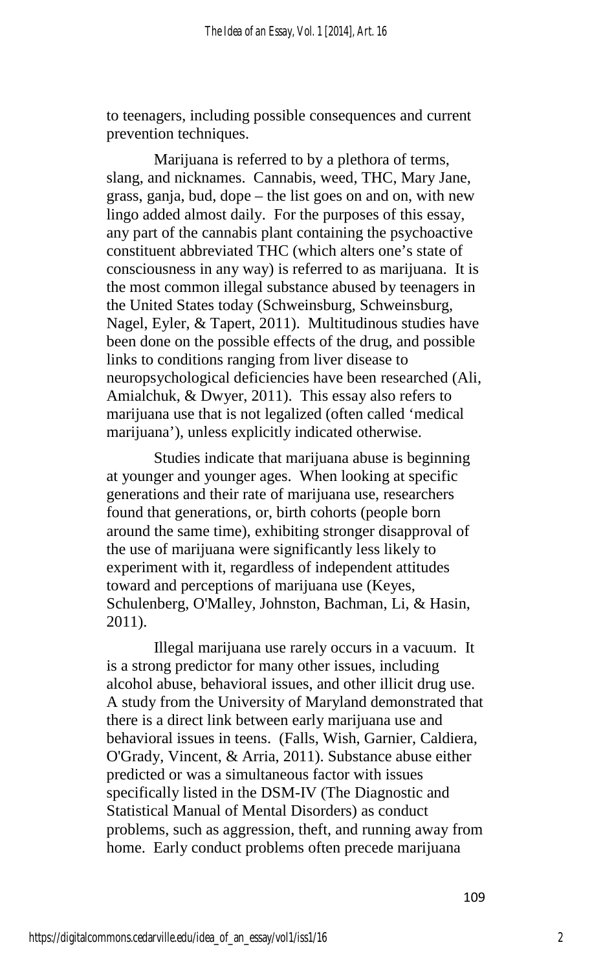to teenagers, including possible consequences and current prevention techniques.

Marijuana is referred to by a plethora of terms, slang, and nicknames. Cannabis, weed, THC, Mary Jane, grass, ganja, bud, dope – the list goes on and on, with new lingo added almost daily. For the purposes of this essay, any part of the cannabis plant containing the psychoactive constituent abbreviated THC (which alters one's state of consciousness in any way) is referred to as marijuana. It is the most common illegal substance abused by teenagers in the United States today (Schweinsburg, Schweinsburg, Nagel, Eyler, & Tapert, 2011). Multitudinous studies have been done on the possible effects of the drug, and possible links to conditions ranging from liver disease to neuropsychological deficiencies have been researched (Ali, Amialchuk, & Dwyer, 2011). This essay also refers to marijuana use that is not legalized (often called 'medical marijuana'), unless explicitly indicated otherwise.

Studies indicate that marijuana abuse is beginning at younger and younger ages. When looking at specific generations and their rate of marijuana use, researchers found that generations, or, birth cohorts (people born around the same time), exhibiting stronger disapproval of the use of marijuana were significantly less likely to experiment with it, regardless of independent attitudes toward and perceptions of marijuana use (Keyes, Schulenberg, O'Malley, Johnston, Bachman, Li, & Hasin, 2011).

 Illegal marijuana use rarely occurs in a vacuum. It is a strong predictor for many other issues, including alcohol abuse, behavioral issues, and other illicit drug use. A study from the University of Maryland demonstrated that there is a direct link between early marijuana use and behavioral issues in teens. (Falls, Wish, Garnier, Caldiera, O'Grady, Vincent, & Arria, 2011). Substance abuse either predicted or was a simultaneous factor with issues specifically listed in the DSM-IV (The Diagnostic and Statistical Manual of Mental Disorders) as conduct problems, such as aggression, theft, and running away from home. Early conduct problems often precede marijuana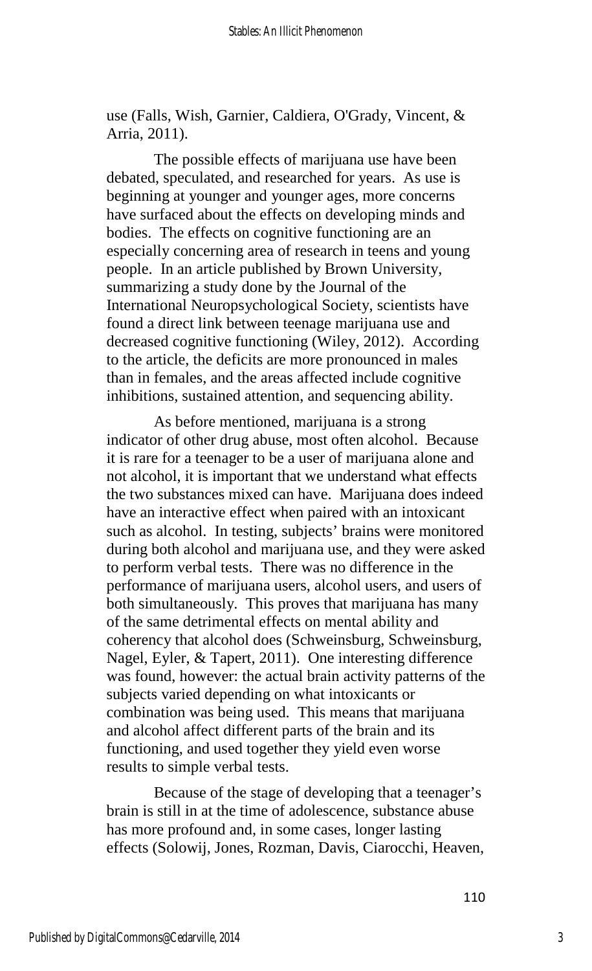use (Falls, Wish, Garnier, Caldiera, O'Grady, Vincent, & Arria, 2011).

The possible effects of marijuana use have been debated, speculated, and researched for years. As use is beginning at younger and younger ages, more concerns have surfaced about the effects on developing minds and bodies. The effects on cognitive functioning are an especially concerning area of research in teens and young people. In an article published by Brown University, summarizing a study done by the Journal of the International Neuropsychological Society, scientists have found a direct link between teenage marijuana use and decreased cognitive functioning (Wiley, 2012). According to the article, the deficits are more pronounced in males than in females, and the areas affected include cognitive inhibitions, sustained attention, and sequencing ability.

 As before mentioned, marijuana is a strong indicator of other drug abuse, most often alcohol. Because it is rare for a teenager to be a user of marijuana alone and not alcohol, it is important that we understand what effects the two substances mixed can have. Marijuana does indeed have an interactive effect when paired with an intoxicant such as alcohol. In testing, subjects' brains were monitored during both alcohol and marijuana use, and they were asked to perform verbal tests. There was no difference in the performance of marijuana users, alcohol users, and users of both simultaneously. This proves that marijuana has many of the same detrimental effects on mental ability and coherency that alcohol does (Schweinsburg, Schweinsburg, Nagel, Eyler, & Tapert, 2011). One interesting difference was found, however: the actual brain activity patterns of the subjects varied depending on what intoxicants or combination was being used. This means that marijuana and alcohol affect different parts of the brain and its functioning, and used together they yield even worse results to simple verbal tests.

Because of the stage of developing that a teenager's brain is still in at the time of adolescence, substance abuse has more profound and, in some cases, longer lasting effects (Solowij, Jones, Rozman, Davis, Ciarocchi, Heaven,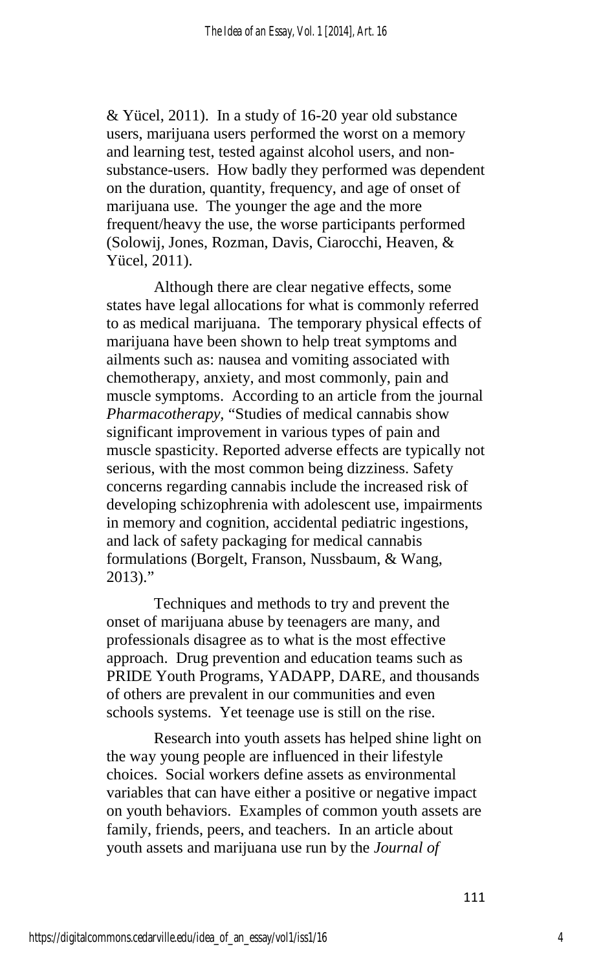& Yücel, 2011). In a study of 16-20 year old substance users, marijuana users performed the worst on a memory and learning test, tested against alcohol users, and nonsubstance-users. How badly they performed was dependent on the duration, quantity, frequency, and age of onset of marijuana use. The younger the age and the more frequent/heavy the use, the worse participants performed (Solowij, Jones, Rozman, Davis, Ciarocchi, Heaven, & Yücel, 2011).

Although there are clear negative effects, some states have legal allocations for what is commonly referred to as medical marijuana. The temporary physical effects of marijuana have been shown to help treat symptoms and ailments such as: nausea and vomiting associated with chemotherapy, anxiety, and most commonly, pain and muscle symptoms. According to an article from the journal *Pharmacotherapy,* "Studies of medical cannabis show significant improvement in various types of pain and muscle spasticity. Reported adverse effects are typically not serious, with the most common being dizziness. Safety concerns regarding cannabis include the increased risk of developing schizophrenia with adolescent use, impairments in memory and cognition, accidental pediatric ingestions, and lack of safety packaging for medical cannabis formulations (Borgelt, Franson, Nussbaum, & Wang,  $2013$ ."

 Techniques and methods to try and prevent the onset of marijuana abuse by teenagers are many, and professionals disagree as to what is the most effective approach. Drug prevention and education teams such as PRIDE Youth Programs, YADAPP, DARE, and thousands of others are prevalent in our communities and even schools systems. Yet teenage use is still on the rise.

 Research into youth assets has helped shine light on the way young people are influenced in their lifestyle choices. Social workers define assets as environmental variables that can have either a positive or negative impact on youth behaviors. Examples of common youth assets are family, friends, peers, and teachers. In an article about youth assets and marijuana use run by the *Journal of*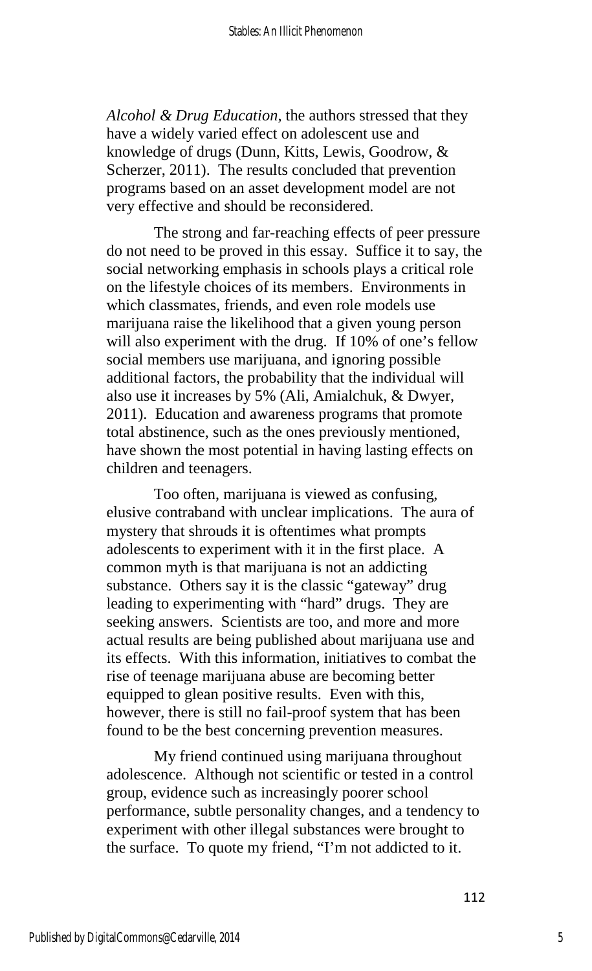*Alcohol & Drug Education*, the authors stressed that they have a widely varied effect on adolescent use and knowledge of drugs (Dunn, Kitts, Lewis, Goodrow, & Scherzer, 2011). The results concluded that prevention programs based on an asset development model are not very effective and should be reconsidered.

The strong and far-reaching effects of peer pressure do not need to be proved in this essay. Suffice it to say, the social networking emphasis in schools plays a critical role on the lifestyle choices of its members. Environments in which classmates, friends, and even role models use marijuana raise the likelihood that a given young person will also experiment with the drug. If 10% of one's fellow social members use marijuana, and ignoring possible additional factors, the probability that the individual will also use it increases by 5% (Ali, Amialchuk, & Dwyer, 2011). Education and awareness programs that promote total abstinence, such as the ones previously mentioned, have shown the most potential in having lasting effects on children and teenagers.

Too often, marijuana is viewed as confusing, elusive contraband with unclear implications. The aura of mystery that shrouds it is oftentimes what prompts adolescents to experiment with it in the first place. A common myth is that marijuana is not an addicting substance. Others say it is the classic "gateway" drug leading to experimenting with "hard" drugs. They are seeking answers. Scientists are too, and more and more actual results are being published about marijuana use and its effects. With this information, initiatives to combat the rise of teenage marijuana abuse are becoming better equipped to glean positive results. Even with this, however, there is still no fail-proof system that has been found to be the best concerning prevention measures.

My friend continued using marijuana throughout adolescence. Although not scientific or tested in a control group, evidence such as increasingly poorer school performance, subtle personality changes, and a tendency to experiment with other illegal substances were brought to the surface. To quote my friend, "I'm not addicted to it.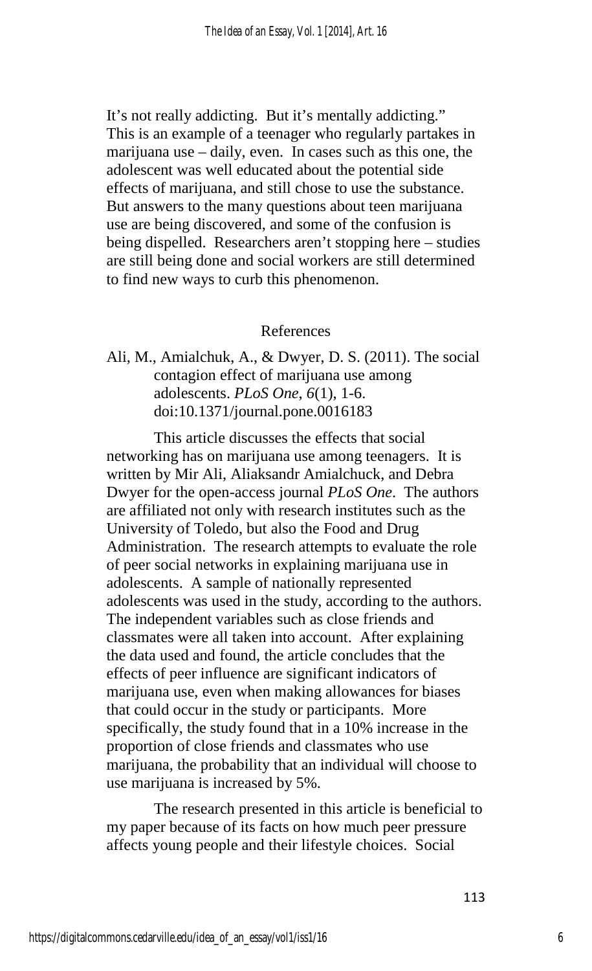It's not really addicting. But it's mentally addicting." This is an example of a teenager who regularly partakes in marijuana use – daily, even. In cases such as this one, the adolescent was well educated about the potential side effects of marijuana, and still chose to use the substance. But answers to the many questions about teen marijuana use are being discovered, and some of the confusion is being dispelled. Researchers aren't stopping here – studies are still being done and social workers are still determined to find new ways to curb this phenomenon.

## References

Ali, M., Amialchuk, A., & Dwyer, D. S. (2011). The social contagion effect of marijuana use among adolescents. *PLoS One*, *6*(1), 1-6. doi:10.1371/journal.pone.0016183

This article discusses the effects that social networking has on marijuana use among teenagers. It is written by Mir Ali, Aliaksandr Amialchuck, and Debra Dwyer for the open-access journal *PLoS One*. The authors are affiliated not only with research institutes such as the University of Toledo, but also the Food and Drug Administration. The research attempts to evaluate the role of peer social networks in explaining marijuana use in adolescents. A sample of nationally represented adolescents was used in the study, according to the authors. The independent variables such as close friends and classmates were all taken into account. After explaining the data used and found, the article concludes that the effects of peer influence are significant indicators of marijuana use, even when making allowances for biases that could occur in the study or participants. More specifically, the study found that in a 10% increase in the proportion of close friends and classmates who use marijuana, the probability that an individual will choose to use marijuana is increased by 5%.

The research presented in this article is beneficial to my paper because of its facts on how much peer pressure affects young people and their lifestyle choices. Social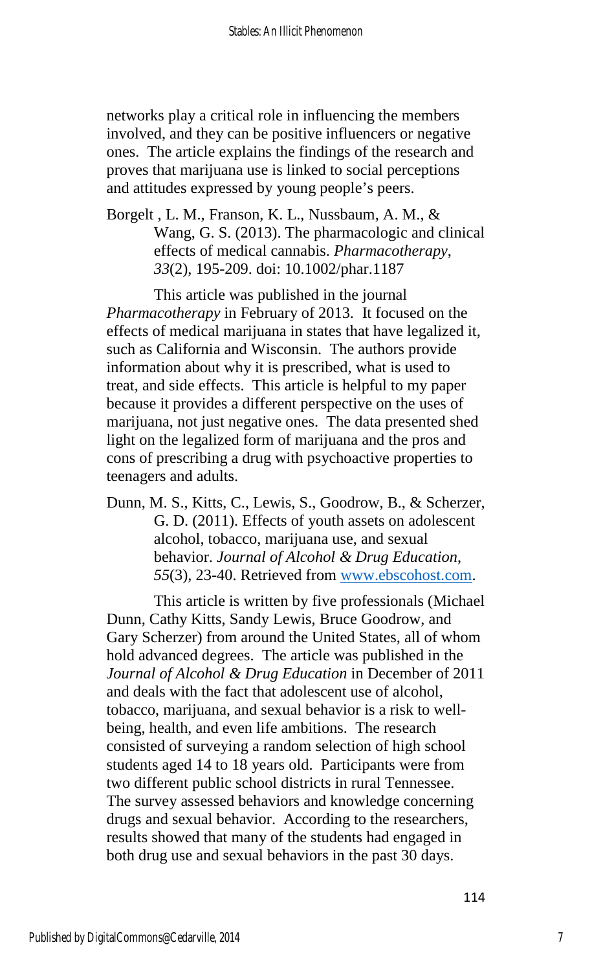networks play a critical role in influencing the members involved, and they can be positive influencers or negative ones. The article explains the findings of the research and proves that marijuana use is linked to social perceptions and attitudes expressed by young people's peers.

Borgelt , L. M., Franson, K. L., Nussbaum, A. M., & Wang, G. S. (2013). The pharmacologic and clinical effects of medical cannabis. *Pharmacotherapy*, *33*(2), 195-209. doi: 10.1002/phar.1187

 This article was published in the journal *Pharmacotherapy* in February of 2013. It focused on the effects of medical marijuana in states that have legalized it, such as California and Wisconsin. The authors provide information about why it is prescribed, what is used to treat, and side effects. This article is helpful to my paper because it provides a different perspective on the uses of marijuana, not just negative ones. The data presented shed light on the legalized form of marijuana and the pros and cons of prescribing a drug with psychoactive properties to teenagers and adults.

Dunn, M. S., Kitts, C., Lewis, S., Goodrow, B., & Scherzer, G. D. (2011). Effects of youth assets on adolescent alcohol, tobacco, marijuana use, and sexual behavior. *Journal of Alcohol & Drug Education*, *55*(3), 23-40. Retrieved from [www.ebscohost.com.](http://www.ebscohost.com/)

This article is written by five professionals (Michael Dunn, Cathy Kitts, Sandy Lewis, Bruce Goodrow, and Gary Scherzer) from around the United States, all of whom hold advanced degrees. The article was published in the *Journal of Alcohol & Drug Education* in December of 2011 and deals with the fact that adolescent use of alcohol, tobacco, marijuana, and sexual behavior is a risk to wellbeing, health, and even life ambitions. The research consisted of surveying a random selection of high school students aged 14 to 18 years old. Participants were from two different public school districts in rural Tennessee. The survey assessed behaviors and knowledge concerning drugs and sexual behavior. According to the researchers, results showed that many of the students had engaged in both drug use and sexual behaviors in the past 30 days.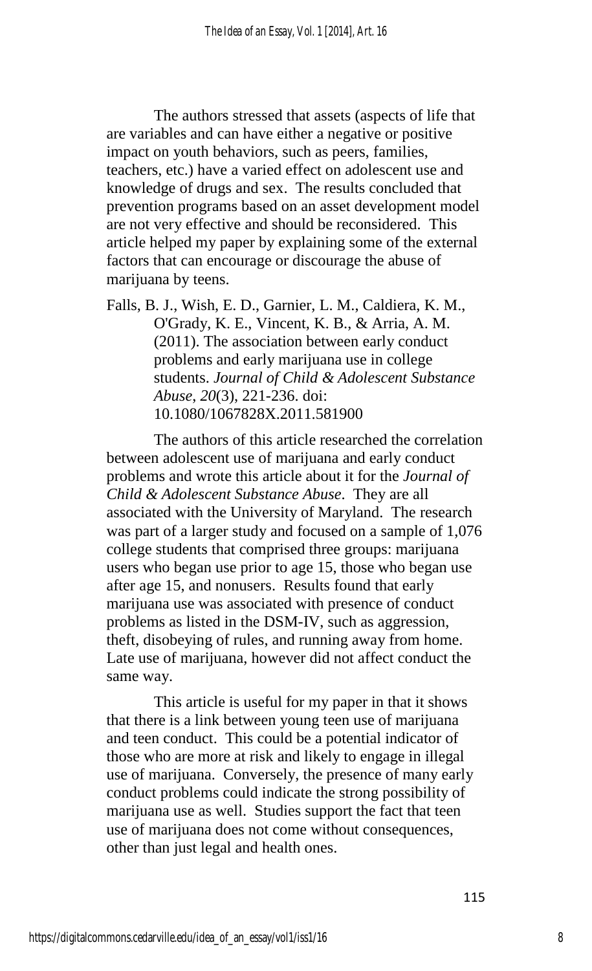The authors stressed that assets (aspects of life that are variables and can have either a negative or positive impact on youth behaviors, such as peers, families, teachers, etc.) have a varied effect on adolescent use and knowledge of drugs and sex. The results concluded that prevention programs based on an asset development model are not very effective and should be reconsidered. This article helped my paper by explaining some of the external factors that can encourage or discourage the abuse of marijuana by teens.

Falls, B. J., Wish, E. D., Garnier, L. M., Caldiera, K. M., O'Grady, K. E., Vincent, K. B., & Arria, A. M. (2011). The association between early conduct problems and early marijuana use in college students. *Journal of Child & Adolescent Substance Abuse*, *20*(3), 221-236. doi: 10.1080/1067828X.2011.581900

The authors of this article researched the correlation between adolescent use of marijuana and early conduct problems and wrote this article about it for the *Journal of Child & Adolescent Substance Abuse*. They are all associated with the University of Maryland. The research was part of a larger study and focused on a sample of 1,076 college students that comprised three groups: marijuana users who began use prior to age 15, those who began use after age 15, and nonusers. Results found that early marijuana use was associated with presence of conduct problems as listed in the DSM-IV, such as aggression, theft, disobeying of rules, and running away from home. Late use of marijuana, however did not affect conduct the same way.

This article is useful for my paper in that it shows that there is a link between young teen use of marijuana and teen conduct. This could be a potential indicator of those who are more at risk and likely to engage in illegal use of marijuana. Conversely, the presence of many early conduct problems could indicate the strong possibility of marijuana use as well. Studies support the fact that teen use of marijuana does not come without consequences, other than just legal and health ones.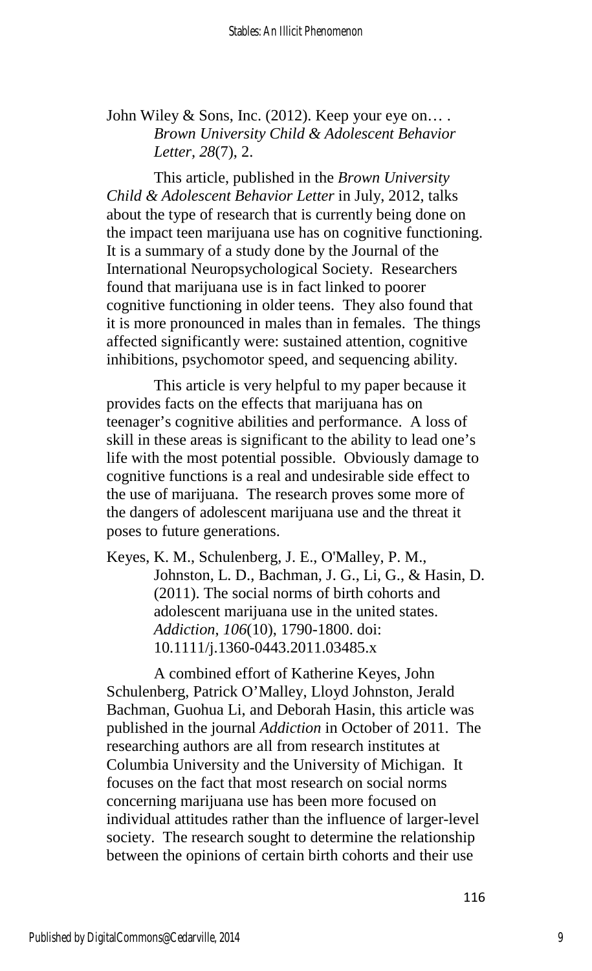# John Wiley & Sons, Inc. (2012). Keep your eye on.... *Brown University Child & Adolescent Behavior Letter, 28*(7), 2.

This article, published in the *Brown University Child & Adolescent Behavior Letter* in July, 2012, talks about the type of research that is currently being done on the impact teen marijuana use has on cognitive functioning. It is a summary of a study done by the Journal of the International Neuropsychological Society. Researchers found that marijuana use is in fact linked to poorer cognitive functioning in older teens. They also found that it is more pronounced in males than in females. The things affected significantly were: sustained attention, cognitive inhibitions, psychomotor speed, and sequencing ability.

This article is very helpful to my paper because it provides facts on the effects that marijuana has on teenager's cognitive abilities and performance. A loss of skill in these areas is significant to the ability to lead one's life with the most potential possible. Obviously damage to cognitive functions is a real and undesirable side effect to the use of marijuana. The research proves some more of the dangers of adolescent marijuana use and the threat it poses to future generations.

Keyes, K. M., Schulenberg, J. E., O'Malley, P. M., Johnston, L. D., Bachman, J. G., Li, G., & Hasin, D. (2011). The social norms of birth cohorts and adolescent marijuana use in the united states. *Addiction*, *106*(10), 1790-1800. doi: 10.1111/j.1360-0443.2011.03485.x

A combined effort of Katherine Keyes, John Schulenberg, Patrick O'Malley, Lloyd Johnston, Jerald Bachman, Guohua Li, and Deborah Hasin, this article was published in the journal *Addiction* in October of 2011. The researching authors are all from research institutes at Columbia University and the University of Michigan. It focuses on the fact that most research on social norms concerning marijuana use has been more focused on individual attitudes rather than the influence of larger-level society. The research sought to determine the relationship between the opinions of certain birth cohorts and their use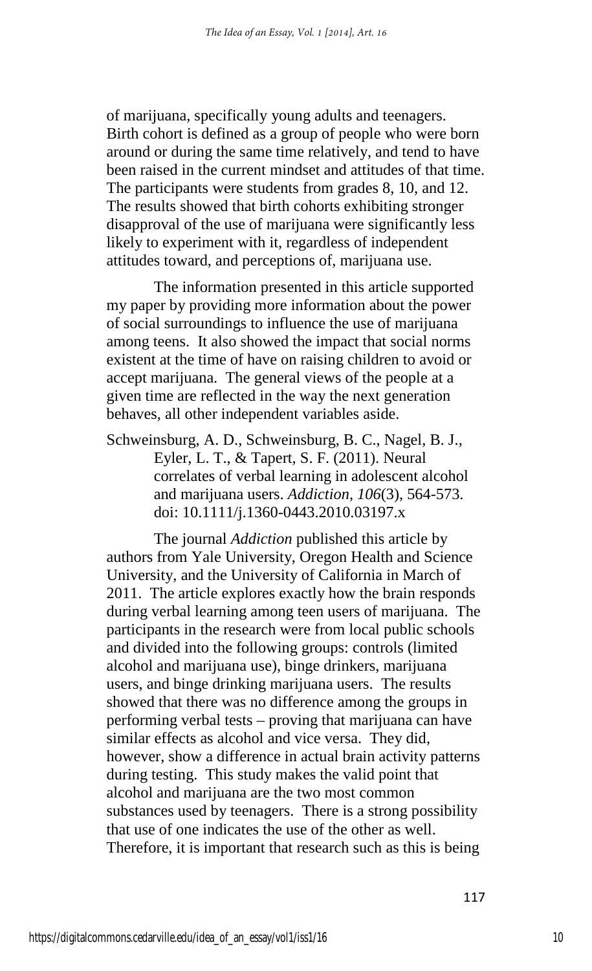of marijuana, specifically young adults and teenagers. Birth cohort is defined as a group of people who were born around or during the same time relatively, and tend to have been raised in the current mindset and attitudes of that time. The participants were students from grades 8, 10, and 12. The results showed that birth cohorts exhibiting stronger disapproval of the use of marijuana were significantly less likely to experiment with it, regardless of independent attitudes toward, and perceptions of, marijuana use.

The information presented in this article supported my paper by providing more information about the power of social surroundings to influence the use of marijuana among teens. It also showed the impact that social norms existent at the time of have on raising children to avoid or accept marijuana. The general views of the people at a given time are reflected in the way the next generation behaves, all other independent variables aside.

Schweinsburg, A. D., Schweinsburg, B. C., Nagel, B. J., Eyler, L. T., & Tapert, S. F. (2011). Neural correlates of verbal learning in adolescent alcohol and marijuana users. *Addiction*, *106*(3), 564-573. doi: 10.1111/j.1360-0443.2010.03197.x

The journal *Addiction* published this article by authors from Yale University, Oregon Health and Science University, and the University of California in March of 2011. The article explores exactly how the brain responds during verbal learning among teen users of marijuana. The participants in the research were from local public schools and divided into the following groups: controls (limited alcohol and marijuana use), binge drinkers, marijuana users, and binge drinking marijuana users. The results showed that there was no difference among the groups in performing verbal tests – proving that marijuana can have similar effects as alcohol and vice versa. They did, however, show a difference in actual brain activity patterns during testing. This study makes the valid point that alcohol and marijuana are the two most common substances used by teenagers. There is a strong possibility that use of one indicates the use of the other as well. Therefore, it is important that research such as this is being